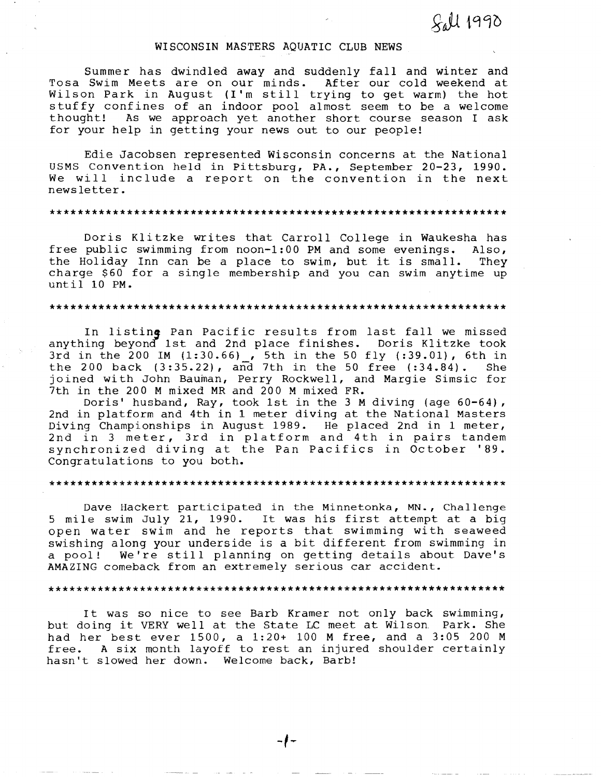# $S<sub>a</sub>U$  1990

# WISCONSIN MASTERS AQUATIC CLUB NEWS

Summer has dwindled away and suddenly fall and winter and Tosa Swim Meets are on our minds. After our cold weekend at Wilson Park in August (I'm still trying to get warm) the hot stuffy confines of an indoor pool almost seem to be a welcome thought! As we approach yet another short course season I ask for your help in getting your news out to our people!

Edie Jacobsen represented Wisconsin concerns at the National USMS Convention held in Pittsburg, PA., September 20-23, 1990. We will include a report on the convention in the next news letter.

# \*\*\*\*\*\*\*\*\*\*\*\*\*\*\*\*\*\*\*\*\*\*\*\*\*\*\*\*\*\*\*\*\*\*\*\*\*\*\*\*\*\*\*\*\*\*\*\*\*\*\*\*\*\*\*\*\*\*\*\*\*\*\*\*\*

Doris Klitzke writes that Carroll College in Waukesha has free public swimming from noon-1:00 PM and some evenings. Also, the Holiday Inn can be a place to swim, but it is small. They charge \$60 for a single membership and you can swim anytime up until 10 **PM.** 

#### \*\*\*\*\*\*\*\*\*\*\*\*\*\*\*\*\*\*\*\*\*\*\*\*\*\*\*\*\*\*\*\*\*\*\*\*\*\*\*\*\*\*\*\*\*\*\*\*\*\*\*\*\*\*\*\*\*\*\*\*\*\*\*\*\*

In listing Pan Pacific results from last fall we missed anything beyond 1st and 2nd place finishes. Doris Klitzke took 3rd in the 200 **IM** (1:30.66) , 5th in the 50 fly (:39.01), 6th in the 200 back  $(3:35.22)$ , and 7th in the 50 free  $(.34.84)$ . She joined with John Bauman, Perry Rockwell, and Margie Simsic for 7th in the 200 **M** mixed MR and 200 **M** mixed FR.

Doris' husband, Ray, took 1st in the **3M** diving (age 60-64), 2nd in platform and 4th in 1 meter diving at the National Masters Diving Championships *in* August 1989. He placed 2nd in 1 meter, 2nd in 3 meter, 3rd in platform and 4th *in* pairs tandem synchronized diving at the Pan Pacifies in October '89. Congratulations to you both.

### \*\*\*\*\*\*\*\*\*\*\*\*\*\*\*\*\*\*\*\*\*\*\*\*\*\*\*\*\*\*\*\*\*\*\*\*\*\*\*\*\*\*\*\*\*\*\*\*\*\*\*\*\*\*\*\*\*\*\*\*\*\*\*\*\*

Dave Hackert participated in the Minnetonka, MN., Challenge 5 mile swim July 21, 1990. It was his first attempt at a big open water swim and he reports that swimming with seaweed swishing along your underside is a bit different from swimming in<br>a pool! We're still planning on getting details about Dave's We're still planning on getting details about Dave's AMAZING comeback from an extremely serious car accident.

# \*\*\*\*\*\*\*\*\*\*\*\*\*\*\*\*\*\*\*\*\*\*\*\*\*\*\*\*\*\*\*\*\*\*\*\*\*\*\*\*\*\*\*\*\*\*\*\*\*\*\*\*\*\*\*\*\*\*\*\*\*\*\*\*\*

It was so nice to see Barb Kramer not only back swimming, but doing it VERY well at the State LC meet at Wilson. Park. She had her best ever 1500, a 1:20+ 100 M free, and a 3:05 200 M free. A six month layoff to rest an injured shoulder certainly hasn't slowed her down. Welcome back, Barb!

 $\frac{1}{2}$